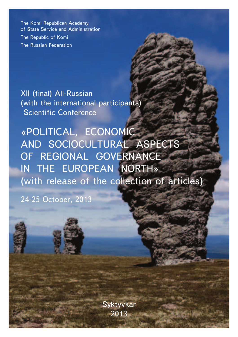The Komi Republican Academy of State Service and Administration The Republic of Komi The Russian Federation

XII (final) All-Russian (with the international participants) Scientific Conference

«POLITICAL, ECONOMIC AND SOCIOCULTURAL ASPECTS OF REGIONAL GOVERNANCE IN THE EUROPEAN NORTH» (with release of the collection of articles)

24-25 October, 2013

Syktyvkar 2013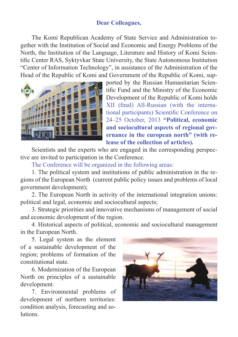## **Dear Colleagues,**

The Komi Republican Academy of State Service and Administration together with the Institution of Social and Economic and Energy Problems of the North, the Institution of the Language, Literature and History of Komi Scientific Center RAS, Syktyvkar State University, the State Autonomous Institution "Center of Information Technology", in assistance of the Administration of the Head of the Republic of Komi and Government of the Republic of Komi, sup-



ported by the Russian Humanitarian Scientific Fund and the Ministry of the Economic Development of the Republic of Komi holds XII (final) All-Russian (with the international participants) Scientific Conference on 24–25 October, 2013 **"Political, economic and sociocultural aspects of regional governance in the european north" (with release of the collection of articles).**

Scientists and the experts who are engaged in the corresponding perspective are invited to participation in the Conference.

The Conference will be organized in the following areas:

1. The political system and institutions of public administration in the regions of the European North (current public policy issues and problems of local government development);

2. The European North in activity of the international integration unions: political and legal, economic and sociocultural aspects;

3. Strategic priorities and innovative mechanisms of management of social and economic development of the region.

4. Historical aspects of political, economic and sociocultural management in the European North.

5. Legal system as the element of a sustainable development of the region; problems of formation of the constitutional state.

6. Modernization of the European North on principles of a sustainable development.

7. Environmental problems of development of northern territories: condition analysis, forecasting and solutions.

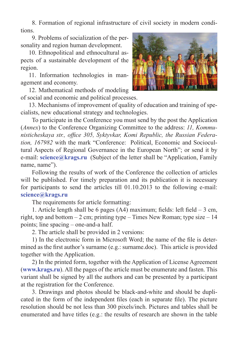8. Formation of regional infrastructure of civil society in modern conditions.

9. Problems of socialization of the personality and region human development.

10. Ethnopolitical and ethnocultural aspects of a sustainable development of the region.

11. Information technologies in management and economy.

12. Mathematical methods of modeling of social and economic and political processes.



To participate in the Conference you must send by the post the Application (*Annex*) to the Conference Organizing Committee to the address: *11, Kommu*nisticheskaya str., office 305, Syktyvkar, Komi Republic, the Russian Federa*tion, 167982* with the mark "Conference: Political, Economic and Sociocultural Aspects of Regional Governance in the European North"; or send it by e-mail: **science@krags.ru** (Subject of the letter shall be "Application, Family name, name").

Following the results of work of the Conference the collection of articles will be published. For timely preparation and its publication it is necessary for participants to send the articles till 01.10.2013 to the following e-mail: **science@krags.ru**

The requirements for article formatting:

1. Article length shall be 6 pages  $(A4)$  maximum; fields: left field  $-3$  cm, right, top and bottom  $-2$  cm; printing type – Times New Roman; type size  $-14$ points; line spacing – one-and-a half.

2. The article shall be provided in 2 versions:

1) In the electronic form in Microsoft Word; the name of the file is determined as the first author's surname (e.g.: surname.doc). This article is provided together with the Application.

2) In the printed form, together with the Application of License Agreement (**www.krags.ru**). All the pages of the article must be enumerate and fasten. This variant shall be signed by all the authors and can be presented by a participant at the registration for the Conference.

3. Drawings and photos should be black-and-white and should be duplicated in the form of the independent files (each in separate file). The picture resolution should be not less than 300 pixels/inch. Pictures and tables shall be enumerated and have titles (e.g.: the results of research are shown in the table